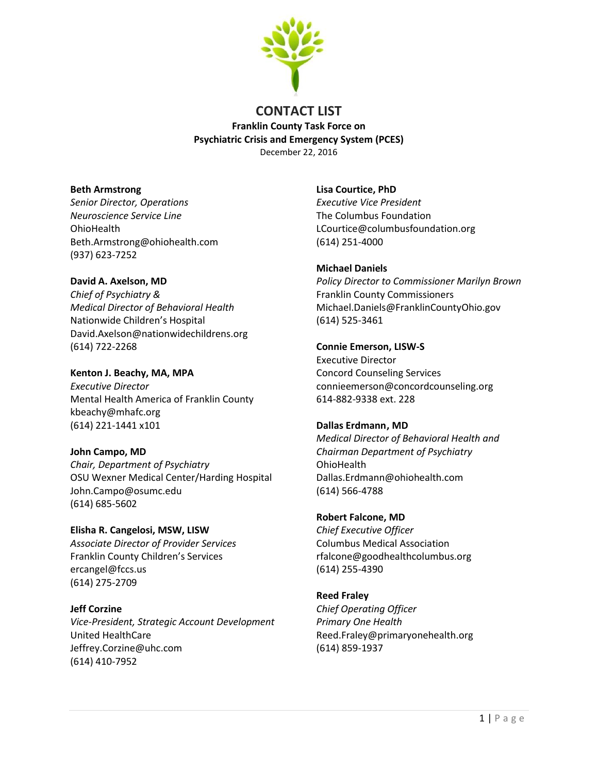

# **CONTACT LIST Franklin County Task Force on Psychiatric Crisis and Emergency System (PCES)** December 22, 2016

### **Beth Armstrong**

*Senior Director, Operations Neuroscience Service Line*  **OhioHealth** Beth.Armstrong@ohiohealth.com (937) 623-7252

## **David A. Axelson, MD**

*Chief of Psychiatry & Medical Director of Behavioral Health* Nationwide Children's Hospital David.Axelson@nationwidechildrens.org (614) 722-2268

**Kenton J. Beachy, MA, MPA** *Executive Director* Mental Health America of Franklin County kbeachy@mhafc.org (614) 221-1441 x101

# **John Campo, MD**

*Chair, Department of Psychiatry* OSU Wexner Medical Center/Harding Hospital John.Campo@osumc.edu (614) 685-5602

**Elisha R. Cangelosi, MSW, LISW** *Associate Director of Provider Services* Franklin County Children's Services ercangel@fccs.us (614) 275-2709

**Jeff Corzine** *Vice-President, Strategic Account Development* United HealthCare Jeffrey.Corzine@uhc.com (614) 410-7952

**Lisa Courtice, PhD** *Executive Vice President*  The Columbus Foundation LCourtice@columbusfoundation.org (614) 251-4000

# **Michael Daniels**

*Policy Director to Commissioner Marilyn Brown* Franklin County Commissioners Michael.Daniels@FranklinCountyOhio.gov (614) 525-3461

## **Connie Emerson, LISW-S**

Executive Director Concord Counseling Services connieemerson@concordcounseling.org 614-882-9338 ext. 228

# **Dallas Erdmann, MD**

*Medical Director of Behavioral Health and Chairman Department of Psychiatry* OhioHealth Dallas.Erdmann@ohiohealth.com (614) 566-4788

**Robert Falcone, MD** *Chief Executive Officer* Columbus Medical Association rfalcone@goodhealthcolumbus.org (614) 255-4390

**Reed Fraley** *Chief Operating Officer Primary One Health* Reed.Fraley@primaryonehealth.org (614) 859-1937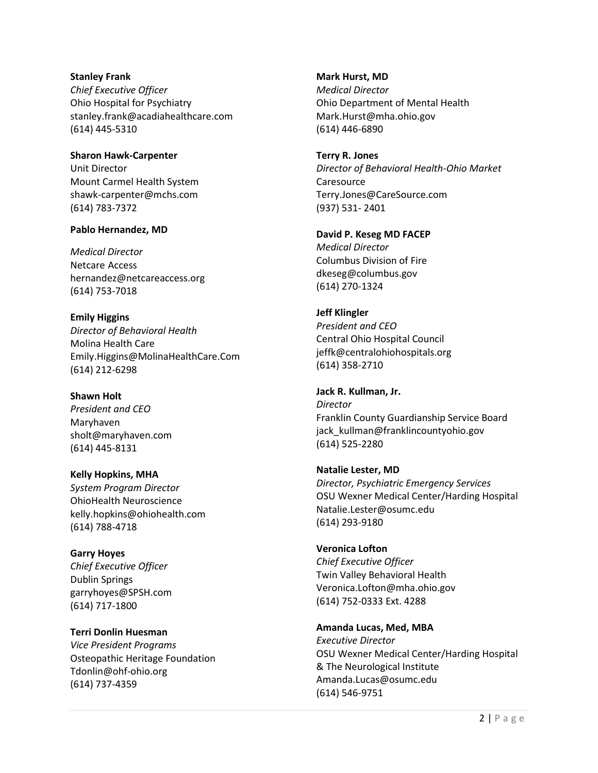#### **Stanley Frank**

*Chief Executive Officer* Ohio Hospital for Psychiatry stanley.frank@acadiahealthcare.com (614) 445-5310

**Sharon Hawk-Carpenter** Unit Director Mount Carmel Health System [shawk-carpenter@mchs.com](mailto:shawk-carpenter@mchs.com) (614) 783-7372

#### **Pablo Hernandez, MD**

*Medical Director* Netcare Access hernandez@netcareaccess.org (614) 753-7018

**Emily Higgins**  *Director of Behavioral Health*  Molina Health Care Emily.Higgins@MolinaHealthCare.Com (614) 212-6298

### **Shawn Holt**

*President and CEO* Maryhaven sholt@maryhaven.com (614) 445-8131

**Kelly Hopkins, MHA** *System Program Director* OhioHealth Neuroscience kelly.hopkins@ohiohealth.com (614) 788-4718

**Garry Hoyes** *Chief Executive Officer* Dublin Springs garryhoyes@SPSH.com (614) 717-1800

**Terri Donlin Huesman** *Vice President Programs* Osteopathic Heritage Foundation Tdonlin@ohf-ohio.org (614) 737-4359

**Mark Hurst, MD**

*Medical Director* Ohio Department of Mental Health Mark.Hurst@mha.ohio.gov (614) 446-6890

**Terry R. Jones** *Director of Behavioral Health-Ohio Market* **Caresource** Terry.Jones@CareSource.com (937) 531- 2401

**David P. Keseg MD FACEP** *Medical Director* Columbus Division of Fire dkeseg@columbus.gov (614) 270-1324

**Jeff Klingler** *President and CEO* Central Ohio Hospital Council jeffk@centralohiohospitals.org (614) 358-2710

**Jack R. Kullman, Jr.** *Director* Franklin County Guardianship Service Board jack\_kullman@franklincountyohio.gov (614) 525-2280

**Natalie Lester, MD** *Director, Psychiatric Emergency Services* OSU Wexner Medical Center/Harding Hospital Natalie.Lester@osumc.edu (614) 293-9180

**Veronica Lofton** *Chief Executive Officer* Twin Valley Behavioral Health Veronica.Lofton@mha.ohio.gov (614) 752-0333 Ext. 4288

**Amanda Lucas, Med, MBA** *Executive Director* OSU Wexner Medical Center/Harding Hospital & The Neurological Institute Amanda.Lucas@osumc.edu (614) 546-9751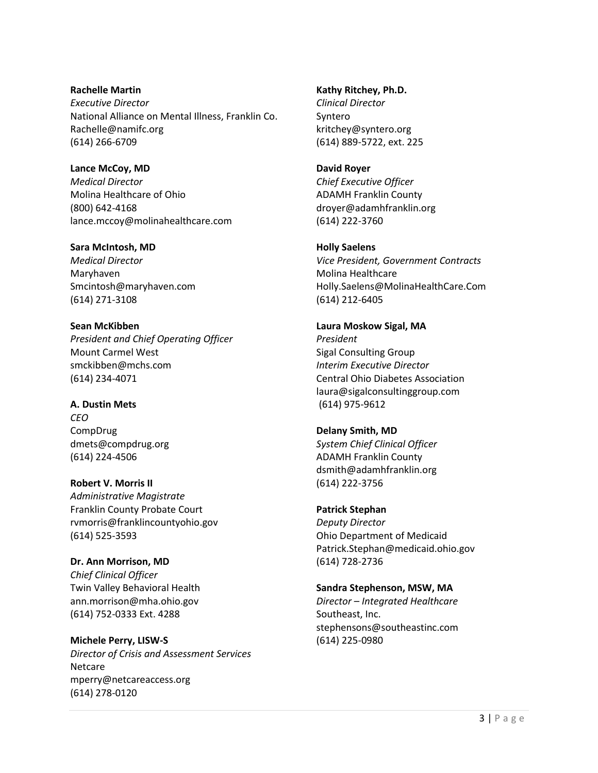**Rachelle Martin** *Executive Director* National Alliance on Mental Illness, Franklin Co. Rachelle@namifc.org (614) 266-6709

**Lance McCoy, MD** *Medical Director* Molina Healthcare of Ohio (800) 642-4168 lance.mccoy@molinahealthcare.com

**Sara McIntosh, MD** *Medical Director* Maryhaven Smcintosh@maryhaven.com (614) 271-3108

**Sean McKibben** *President and Chief Operating Officer* Mount Carmel West smckibben@mchs.com (614) 234-4071

**A. Dustin Mets** *CEO* CompDrug dmets@compdrug.org (614) 224-4506

**Robert V. Morris II** *Administrative Magistrate* Franklin County Probate Court rvmorris@franklincountyohio.gov (614) 525-3593

**Dr. Ann Morrison, MD** *Chief Clinical Officer*  Twin Valley Behavioral Health ann.morrison@mha.ohio.gov (614) 752-0333 Ext. 4288

**Michele Perry, LISW-S** *Director of Crisis and Assessment Services* Netcare mperry@netcareaccess.org (614) 278-0120

### **Kathy Ritchey, Ph.D.**

*Clinical Director* Syntero [kritchey@syntero.org](mailto:kritchey@syntero.org) (614) 889-5722, ext. 225

### **David Royer**

*Chief Executive Officer* ADAMH Franklin County droyer@adamhfranklin.org (614) 222-3760

## **Holly Saelens**

*Vice President, Government Contracts* Molina Healthcare Holly.Saelens@MolinaHealthCare.Com (614) 212-6405

### **Laura Moskow Sigal, MA**

*President* Sigal Consulting Group *Interim Executive Director* Central Ohio Diabetes Association laura@sigalconsultinggroup.com (614) 975-9612

### **Delany Smith, MD**

*System Chief Clinical Officer* ADAMH Franklin County dsmith@adamhfranklin.org (614) 222-3756

# **Patrick Stephan**

*Deputy Director*  Ohio Department of Medicaid [Patrick.Stephan@medicaid.ohio.gov](mailto:Patrick.Stephan@medicaid.ohio.gov) (614) 728-2736

# **Sandra Stephenson, MSW, MA**

*Director – Integrated Healthcare* Southeast, Inc. [stephensons@southeastinc.com](mailto:stephensons@southeastinc.com) (614) 225-0980